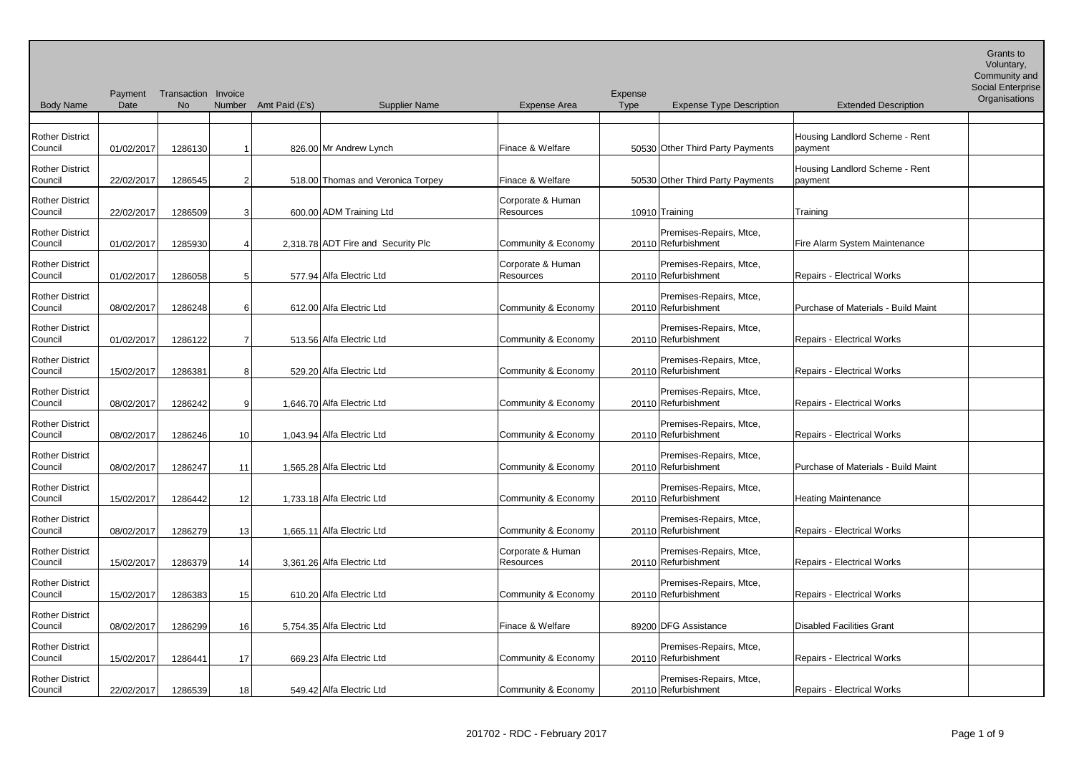| <b>Body Name</b>                  | Date       | Payment Transaction Invoice<br><b>No</b> | Number         | Amt Paid (£'s) | <b>Supplier Name</b>               | Expense Area                   | Expense<br><b>Type</b> | <b>Expense Type Description</b>                | <b>Extended Description</b>               | Social Enterprise<br>Organisations |
|-----------------------------------|------------|------------------------------------------|----------------|----------------|------------------------------------|--------------------------------|------------------------|------------------------------------------------|-------------------------------------------|------------------------------------|
| <b>Rother District</b><br>Council | 01/02/2017 | 1286130                                  |                |                | 826.00 Mr Andrew Lynch             | Finace & Welfare               |                        | 50530 Other Third Party Payments               | Housing Landlord Scheme - Rent<br>payment |                                    |
| <b>Rother District</b><br>Council | 22/02/2017 | 1286545                                  | 2              |                | 518.00 Thomas and Veronica Torpey  | Finace & Welfare               |                        | 50530 Other Third Party Payments               | Housing Landlord Scheme - Rent<br>payment |                                    |
| <b>Rother District</b><br>Council | 22/02/2017 | 1286509                                  | 3              |                | 600.00 ADM Training Ltd            | Corporate & Human<br>Resources |                        | 10910 Training                                 | Training                                  |                                    |
| <b>Rother District</b><br>Council | 01/02/2017 | 1285930                                  | 4              |                | 2,318.78 ADT Fire and Security Plc | Community & Economy            |                        | Premises-Repairs, Mtce,<br>20110 Refurbishment | Fire Alarm System Maintenance             |                                    |
| <b>Rother District</b><br>Council | 01/02/2017 | 1286058                                  | 5 <sub>l</sub> |                | 577.94 Alfa Electric Ltd           | Corporate & Human<br>Resources |                        | Premises-Repairs, Mtce,<br>20110 Refurbishment | <b>Repairs - Electrical Works</b>         |                                    |
| <b>Rother District</b><br>Council | 08/02/2017 | 1286248                                  | 61             |                | 612.00 Alfa Electric Ltd           | Community & Economy            |                        | Premises-Repairs, Mtce,<br>20110 Refurbishment | Purchase of Materials - Build Maint       |                                    |
| <b>Rother District</b><br>Council | 01/02/2017 | 1286122                                  | 7              |                | 513.56 Alfa Electric Ltd           | Community & Economy            |                        | Premises-Repairs, Mtce,<br>20110 Refurbishment | <b>Repairs - Electrical Works</b>         |                                    |
| <b>Rother District</b><br>Council | 15/02/2017 | 1286381                                  | 8              |                | 529.20 Alfa Electric Ltd           | Community & Economy            |                        | Premises-Repairs, Mtce,<br>20110 Refurbishment | <b>Repairs - Electrical Works</b>         |                                    |
| <b>Rother District</b><br>Council | 08/02/2017 | 1286242                                  | 9 <sub>l</sub> |                | 1,646.70 Alfa Electric Ltd         | Community & Economy            |                        | Premises-Repairs, Mtce,<br>20110 Refurbishment | <b>Repairs - Electrical Works</b>         |                                    |
| <b>Rother District</b><br>Council | 08/02/2017 | 1286246                                  | 10             |                | 1,043.94 Alfa Electric Ltd         | Community & Economy            |                        | Premises-Repairs, Mtce,<br>20110 Refurbishment | <b>Repairs - Electrical Works</b>         |                                    |
| <b>Rother District</b><br>Council | 08/02/2017 | 1286247                                  | 11             |                | 1.565.28 Alfa Electric Ltd         | Community & Economy            |                        | Premises-Repairs, Mtce,<br>20110 Refurbishment | Purchase of Materials - Build Maint       |                                    |
| <b>Rother District</b><br>Council | 15/02/2017 | 1286442                                  | 12             |                | 1,733.18 Alfa Electric Ltd         | Community & Economy            |                        | Premises-Repairs, Mtce,<br>20110 Refurbishment | <b>Heating Maintenance</b>                |                                    |
| <b>Rother District</b><br>Council | 08/02/2017 | 1286279                                  | 13             |                | 1,665.11 Alfa Electric Ltd         | Community & Economy            |                        | Premises-Repairs, Mtce,<br>20110 Refurbishment | <b>Repairs - Electrical Works</b>         |                                    |
| <b>Rother District</b><br>Council | 15/02/2017 | 1286379                                  | 14             |                | 3,361.26 Alfa Electric Ltd         | Corporate & Human<br>Resources |                        | Premises-Repairs, Mtce,<br>20110 Refurbishment | <b>Repairs - Electrical Works</b>         |                                    |
| <b>Rother District</b><br>Council | 15/02/2017 | 1286383                                  | 15             |                | 610.20 Alfa Electric Ltd           | Community & Economy            |                        | Premises-Repairs, Mtce,<br>20110 Refurbishment | <b>Repairs - Electrical Works</b>         |                                    |
| <b>Rother District</b><br>Council | 08/02/2017 | 1286299                                  | 16             |                | 5,754.35 Alfa Electric Ltd         | Finace & Welfare               |                        | 89200 DFG Assistance                           | <b>Disabled Facilities Grant</b>          |                                    |
| <b>Rother District</b><br>Council | 15/02/2017 | 1286441                                  | 17             |                | 669.23 Alfa Electric Ltd           | Community & Economy            |                        | Premises-Repairs, Mtce,<br>20110 Refurbishment | <b>Repairs - Electrical Works</b>         |                                    |
| <b>Rother District</b><br>Council | 22/02/2017 | 1286539                                  | 18             |                | 549.42 Alfa Electric Ltd           | Community & Economy            |                        | Premises-Repairs, Mtce,<br>20110 Refurbishment | <b>Repairs - Electrical Works</b>         |                                    |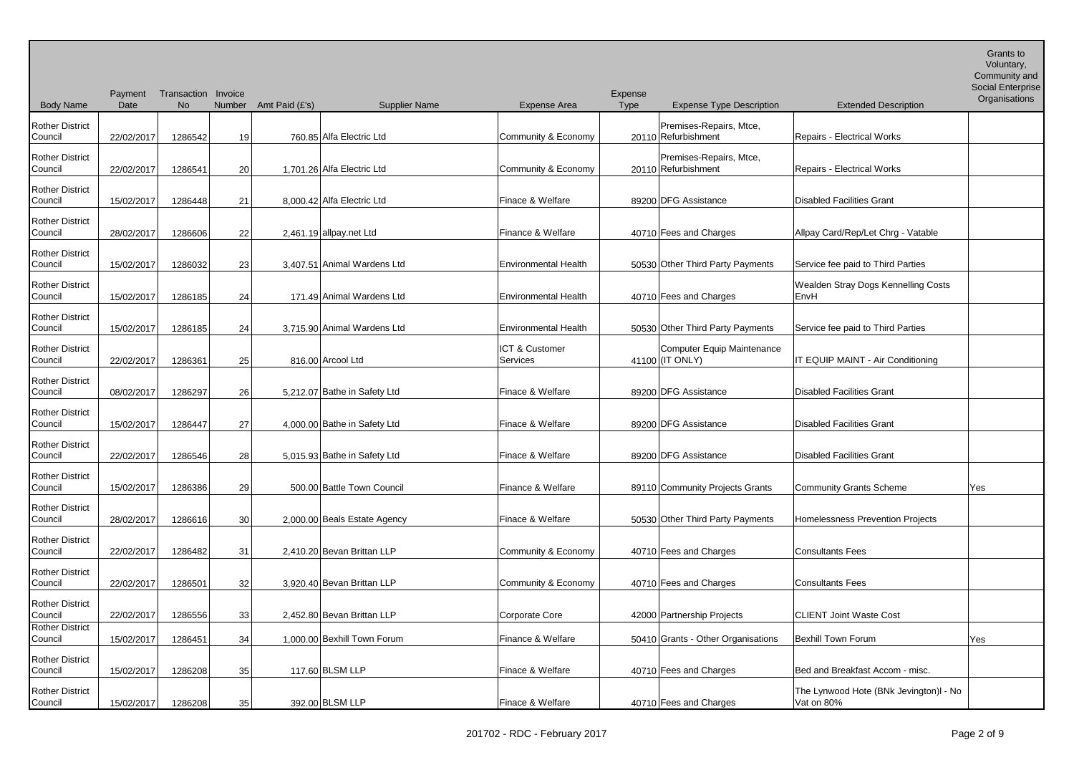Voluntary,

|                                   |            | Payment Transaction Invoice |                 |                       |                              |                                       | Expense |                                                |                                                      | Community and<br><b>Social Enterprise</b> |
|-----------------------------------|------------|-----------------------------|-----------------|-----------------------|------------------------------|---------------------------------------|---------|------------------------------------------------|------------------------------------------------------|-------------------------------------------|
| <b>Body Name</b>                  | Date       | <b>No</b>                   |                 | Number Amt Paid (£'s) | <b>Supplier Name</b>         | Expense Area                          | Type    | <b>Expense Type Description</b>                | <b>Extended Description</b>                          | Organisations                             |
| <b>Rother District</b><br>Council | 22/02/2017 | 1286542                     | 19              |                       | 760.85 Alfa Electric Ltd     | Community & Economy                   |         | Premises-Repairs, Mtce,<br>20110 Refurbishment | Repairs - Electrical Works                           |                                           |
| <b>Rother District</b><br>Council | 22/02/2017 | 1286541                     | 20              |                       | 1,701.26 Alfa Electric Ltd   | Community & Economy                   |         | Premises-Repairs, Mtce,<br>20110 Refurbishment | <b>Repairs - Electrical Works</b>                    |                                           |
| <b>Rother District</b><br>Council | 15/02/2017 | 1286448                     | 21              |                       | 8,000.42 Alfa Electric Ltd   | Finace & Welfare                      |         | 89200 DFG Assistance                           | <b>Disabled Facilities Grant</b>                     |                                           |
| <b>Rother District</b><br>Council | 28/02/2017 | 1286606                     | 22              |                       | $2,461.19$ allpay net Ltd    | Finance & Welfare                     |         | 40710 Fees and Charges                         | Allpay Card/Rep/Let Chrg - Vatable                   |                                           |
| <b>Rother District</b><br>Council | 15/02/2017 | 1286032                     | 23              |                       | 3,407.51 Animal Wardens Ltd  | <b>Environmental Health</b>           |         | 50530 Other Third Party Payments               | Service fee paid to Third Parties                    |                                           |
| <b>Rother District</b><br>Council | 15/02/2017 | 1286185                     | 24              |                       | 171.49 Animal Wardens Ltd    | <b>Environmental Health</b>           |         | 40710 Fees and Charges                         | Wealden Stray Dogs Kennelling Costs<br>EnvH          |                                           |
| <b>Rother District</b><br>Council | 15/02/2017 | 1286185                     | 24              |                       | 3,715.90 Animal Wardens Ltd  | <b>Environmental Health</b>           |         | 50530 Other Third Party Payments               | Service fee paid to Third Parties                    |                                           |
| <b>Rother District</b><br>Council | 22/02/2017 | 1286361                     | 25              |                       | 816.00 Arcool Ltd            | <b>ICT &amp; Customer</b><br>Services |         | Computer Equip Maintenance<br>41100 (IT ONLY)  | IT EQUIP MAINT - Air Conditioning                    |                                           |
| <b>Rother District</b><br>Council | 08/02/2017 | 1286297                     | 26              |                       | 5,212.07 Bathe in Safety Ltd | Finace & Welfare                      |         | 89200 DFG Assistance                           | <b>Disabled Facilities Grant</b>                     |                                           |
| <b>Rother District</b><br>Council | 15/02/2017 | 1286447                     | 27              |                       | 4,000.00 Bathe in Safety Ltd | Finace & Welfare                      |         | 89200 DFG Assistance                           | <b>Disabled Facilities Grant</b>                     |                                           |
| <b>Rother District</b><br>Council | 22/02/2017 | 1286546                     | 28              |                       | 5,015.93 Bathe in Safety Ltd | Finace & Welfare                      |         | 89200 DFG Assistance                           | <b>Disabled Facilities Grant</b>                     |                                           |
| <b>Rother District</b><br>Council | 15/02/2017 | 1286386                     | 29              |                       | 500.00 Battle Town Council   | Finance & Welfare                     |         | 89110 Community Projects Grants                | <b>Community Grants Scheme</b>                       | Yes                                       |
| <b>Rother District</b><br>Council | 28/02/2017 | 1286616                     | 30 <sup>°</sup> |                       | 2,000.00 Beals Estate Agency | Finace & Welfare                      |         | 50530 Other Third Party Payments               | Homelessness Prevention Projects                     |                                           |
| <b>Rother District</b><br>Council | 22/02/2017 | 1286482                     | 31              |                       | 2,410.20 Bevan Brittan LLP   | Community & Economy                   |         | 40710 Fees and Charges                         | <b>Consultants Fees</b>                              |                                           |
| <b>Rother District</b><br>Council | 22/02/2017 | 1286501                     | 32              |                       | 3,920.40 Bevan Brittan LLP   | Community & Economy                   |         | 40710 Fees and Charges                         | <b>Consultants Fees</b>                              |                                           |
| <b>Rother District</b><br>Council | 22/02/2017 | 1286556                     | 33              |                       | 2,452.80 Bevan Brittan LLP   | Corporate Core                        |         | 42000 Partnership Projects                     | <b>CLIENT Joint Waste Cost</b>                       |                                           |
| <b>Rother District</b><br>Council | 15/02/2017 | 1286451                     | 34              |                       | 1,000.00 Bexhill Town Forum  | Finance & Welfare                     |         | 50410 Grants - Other Organisations             | <b>Bexhill Town Forum</b>                            | Yes                                       |
| <b>Rother District</b><br>Council | 15/02/2017 | 1286208                     | 35              |                       | 117.60 BLSM LLP              | Finace & Welfare                      |         | 40710 Fees and Charges                         | Bed and Breakfast Accom - misc.                      |                                           |
| <b>Rother District</b><br>Council | 15/02/2017 | 1286208                     | 35              |                       | 392.00 BLSM LLP              | Finace & Welfare                      |         | 40710 Fees and Charges                         | The Lynwood Hote (BNk Jevington)I - No<br>Vat on 80% |                                           |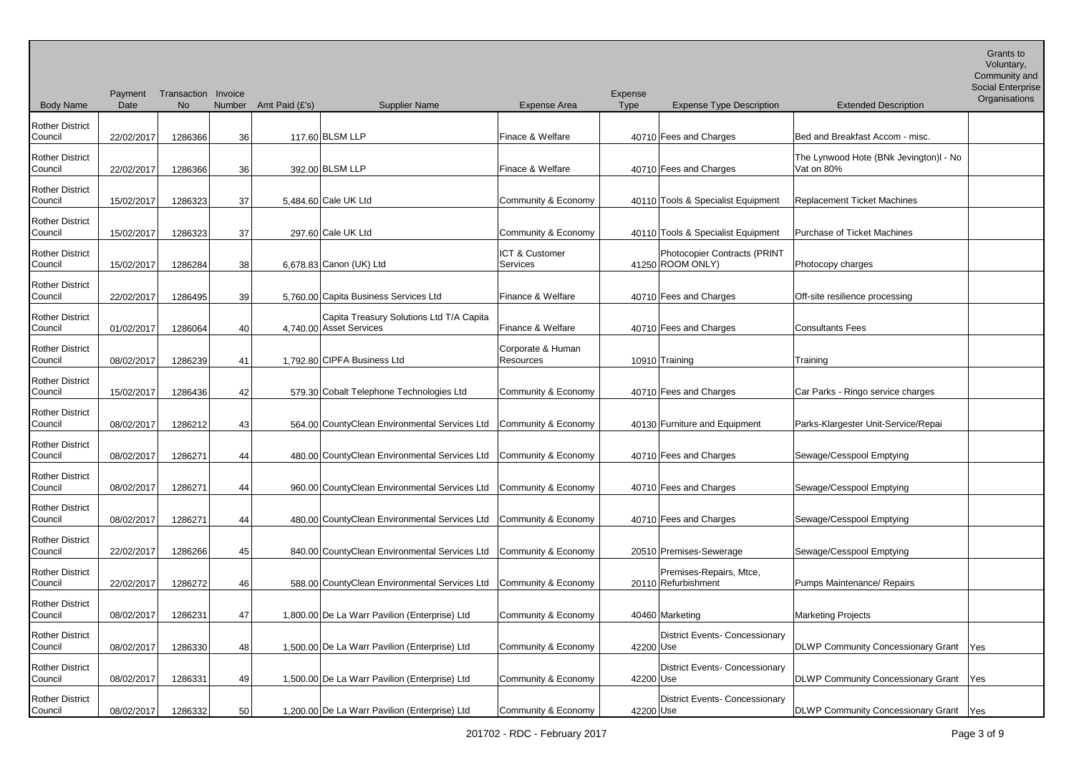Body Name Payment Transaction Invoice **Date** No Number Amt Paid (£'s) Supplier Name Expense Area Expense<br>Type Expense Type Description Extended Description Voluntary, Community and Social Enterprise **Organisations** Rother District<br>Council 22/02/2017 1286366 36 117.60 BLSM LLP Finace & Welfare 40710 Fees and Charges Bed and Breakfast Accom - misc. Rother District Council 22/02/2017 1286366 36 392.00 BLSM LLP Finace & Welfare 40710 Fees and Charges The Lynwood Hote (BNk Jevington)l - No Vat on 80% Rother District 15/02/2017 1286323 37 5,484.60 Cale UK Ltd Community & Economy 40110 Tools & Specialist Equipment Replacement Ticket Machines Rother District Council 15/02/2017 1286323 37 297.60 Cale UK Ltd Community & Economy 40110 Tools & Specialist Equipment Purchase of Ticket Machines Rother District 15/02/2017 1286284 38 6,678.83 Canon (UK) Ltd ICT & Customer Services 141250 ROOM ONLY) Photocopier Contracts (PRINT Photocopy charges Rother District Council 22/02/2017 1286495 39 5,760.00 Capita Business Services Ltd Finance & Welfare 40710 Fees and Charges Off-site resilience processing Rother District 01/02/2017 1286064 40 4,740.00 Asset Services Capita Treasury Solutions Ltd T/A Capita Finance & Welfare  $\vert$  40710 Fees and Charges Consultants Fees Rother District Council 08/02/2017 1286239 41 1,792.80 CIPFA Business Ltd Corporate & Human Resources 10910 Training Training Training Rother District Council 15/02/2017 1286436 42 579.30 Cobalt Telephone Technologies Ltd Community & Economy 40710 Fees and Charges Car Parks - Ringo service charges Rother District Council 08/02/2017 1286212 43 564.00 CountyClean Environmental Services Ltd Community & Economy 40130 Furniture and Equipment Parks-Klargester Unit-Service/Repai Rother District Council 1286271 1286271 44 480.00 CountyClean Environmental Services Ltd Community & Economy 40710 Fees and Charges Sewage/Cesspool Emptying Rother District Council  $\vert$  08/02/2017 1286271 44 960.00 CountyClean Environmental Services Ltd Community & Economy 40710 Fees and Charges Sewage/Cesspool Emptying Rother District Council  $\log_{102/2017}$  1286271 44 480.00 CountyClean Environmental Services Ltd Community & Economy 40710 Fees and Charges Sewage/Cesspool Emptying Rother District Council 22/02/2017 1286266 45 840.00 CountyClean Environmental Services Ltd Community & Economy 20510 Premises-Sewerage Sewage/Cesspool Emptying Rother District Council 22/02/2017 1286272 46 588.00 CountyClean Environmental Services Ltd Community & Economy 20110 Refurbishment Premises-Repairs, Mtce, Pumps Maintenance/ Repairs Rother District Council 08/02/2017 1286231 47 1,800.00 De La Warr Pavilion (Enterprise) Ltd Community & Economy 40460 Marketing Marketing Projects Rother District Council  $\begin{array}{|c|c|c|c|c|c|}\n\hline\n08/02/2017 & 1286330 & 48 & 1.500.00 \text{[De La War Pavilion (Enterprise) Ltd} & \text{Community & Economy} & 42200 \text{[Use} \end{array}$ District Events- Concessionary DLWP Community Concessionary Grant Yes Rother District Council | 08/02/2017 | 1286331 49 1,500.00 De La Warr Pavilion (Enterprise) Ltd Community & Economy | 42200 Use District Events- Concessionary DLWP Community Concessionary Grant Yes Rother District Council 08/02/2017 1286332 50 1,200.00 De La Warr Pavilion (Enterprise) Ltd Community & Economy 42200 District Events- Concessionary DLWP Community Concessionary Grant Yes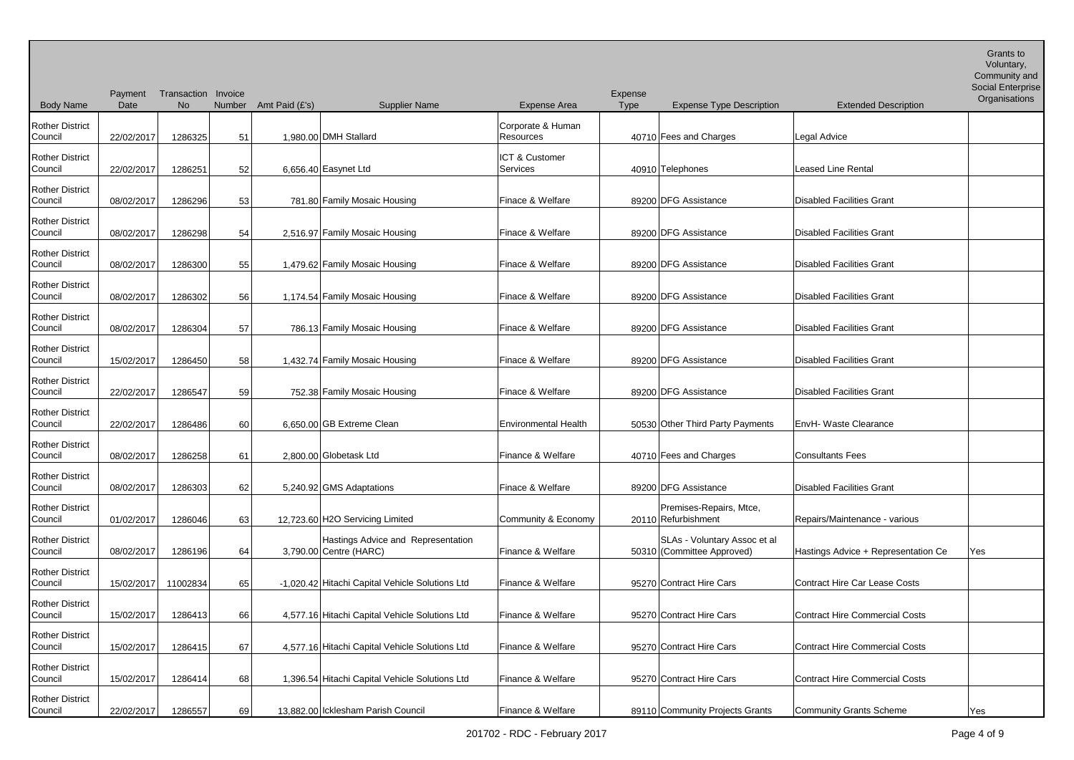Body Name Payment Transaction Invoice **Date** No Number Amt Paid (£'s) Supplier Name Expense Area Expense<br>Type Expense Type Description Extended Description Voluntary, Community and Social Enterprise **Organisations** Rother District<br>Council 22/02/2017 1286325 51 1,980.00 DMH Stallard Corporate & Human<br>Resources 40710 Fees and Charges **Legal Advice** Rother District Council 22/02/2017 1286251 52 6,656.40 Easynet Ltd ICT & Customer Services **19910** A0910 Telephones **Leased Line Rental** Rother District 08/02/2017 1286296 53 781.80 Family Mosaic Housing Finace & Welfare 89200 DFG Assistance Disabled Facilities Grant Rother District Council 1286298 54 2,516.97 Family Mosaic Housing Finace & Welfare 89200 DFG Assistance Disabled Facilities Grant Rother District 08/02/2017 1286300 55 1,479.62 Family Mosaic Housing Finace & Welfare 89200 DFG Assistance Disabled Facilities Grant Rother District Council 08/02/2017 1286302 56 1,174.54 Family Mosaic Housing Finace & Welfare 89200 DFG Assistance Disabled Facilities Grant Rother District 08/02/2017 1286304 57 786.13 Family Mosaic Housing Finace & Welfare 89200 DFG Assistance Disabled Facilities Grant Rother District<br>Council 15/02/2017 1286450 58 1,432.74 Family Mosaic Housing Finace & Welfare 89200 DFG Assistance Disabled Facilities Grant Rother District Council 22/02/2017 1286547 59 752.38 Family Mosaic Housing Finace & Welfare 89200 DFG Assistance Disabled Facilities Grant Rother District Council 22/02/2017 1286486 60 6,650.00 GB Extreme Clean Environmental Health 50530 Other Third Party Payments EnvH- Waste Clearance Rother District Council 08/02/2017 1286258 61 2,800.00 Globetask Ltd Finance & Welfare 40710 Fees and Charges Consultants Fees Rother District 08/02/2017 1286303 62 5,240.92 GMS Adaptations Finace & Welfare 89200 DFG Assistance Disabled Facilities Grant Rother District Council | 01/02/2017 | 1286046 63 12,723.60 H2O Servicing Limited Community & Economy | 20110 Refurbishment Premises-Repairs, Mtce, Repairs/Maintenance - various Rother District Council 08/02/2017 1286196 64 3.790.00 Centre (HARC) Hastings Advice and Representation Finance & Welfare | 50310 (Committee Approved) SLAs - Voluntary Assoc et al Hastings Advice + Representation Ce Ves Rother District Council 15/02/2017 11002834 65 -1,020.42 Hitachi Capital Vehicle Solutions Ltd Finance & Welfare 95270 Contract Hire Cars Contract Hire Car Lease Costs Rother District Council 15/02/2017 1286413 66 4.577.16 Hitachi Capital Vehicle Solutions Ltd Finance & Welfare 95270 Contract Hire Cars Contract Hire Commercial Costs Rother District Council 15/02/2017 1286415 67 4,577.16 Hitachi Capital Vehicle Solutions Ltd Finance & Welfare 95270 Contract Hire Cars Contract Hire Commercial Costs Rother District Council 15/02/2017 1286414 68 1,396.54 Hitachi Capital Vehicle Solutions Ltd Finance & Welfare 95270 Contract Hire Cars Contract Hire Commercial Costs Rother District Council 22/02/2017 1286557 69 13.882.00 Icklesham Parish Council Finance & Welfare 89110 Community Projects Grants Community Grants Scheme Yes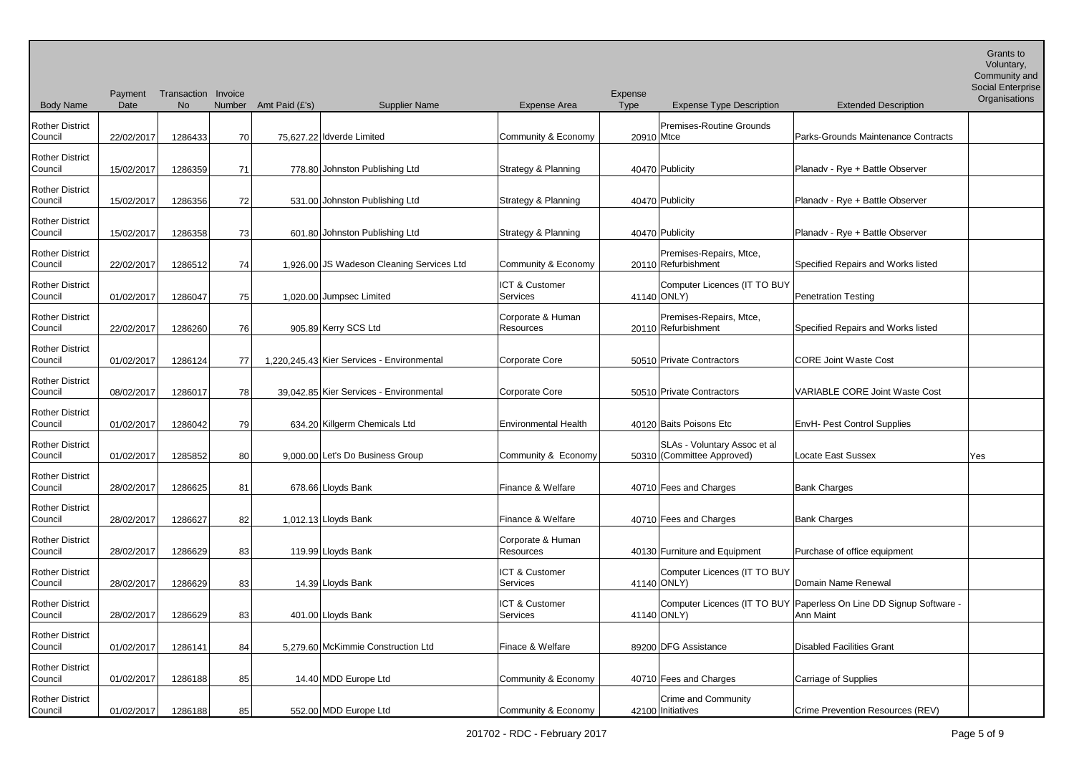Body Name Payment Transaction Invoice **Date** No Number Amt Paid (£'s) Supplier Name Expense Area Expense<br>Type Expense Type Description Extended Description Voluntary, Community and Social Enterprise **Organisations** Rother District<br>Council  $22/02/2017$  1286433  $70$  75,627.22 Idverde Limited Community & Economy 20910 Mtce Premises-Routine Grounds Parks-Grounds Maintenance Contracts Rother District Council 15/02/2017 1286359 71 778.80 Johnston Publishing Ltd Strategy & Planning 40470 Publicity Planadv - Rye + Battle Observer Rother District 15/02/2017 1286356 72 531.00 Johnston Publishing Ltd Strategy & Planning 40470 Publicity Planadv - Rye + Battle Observer Rother District Council 15/02/2017 1286358 73 601.80 Johnston Publishing Ltd Strategy & Planning 40470 Publicity Planadv - Rye + Battle Observer Rother District 22/02/2017 1286512 74 1,926.00 JS Wadeson Cleaning Services Ltd Community & Economy 20110 Refurbishment Premises-Repairs, Mtce, Specified Repairs and Works listed Rother District Council 01/02/2017 1286047 75 1,020.00 Jumpsec Limited ICT & Customer Services | 41140 ONLY) Computer Licences (IT TO BUY Penetration Testing Rother District 22/02/2017 1286260 76 905.89 Kerry SCS Ltd Corporate & Human Resources | 20110 Refurbishment Premises-Repairs, Mtce, Specified Repairs and Works listed Rother District<br>Council Council 01/02/2017 1286124 77 1,220,245.43 Kier Services - Environmental Corporate Core 50510 Private Contractors CORE Joint Waste Cost Rother District Council 08/02/2017 1286017 78 39,042.85 Kier Services - Environmental Corporate Core 50510 Private Contractors VARIABLE CORE Joint Waste Cost Rother District Council 01/02/2017 1286042 79 634.20 Killgerm Chemicals Ltd Environmental Health 40120 Baits Poisons Etc EnvH- Pest Control Supplies Rother District Council  $\begin{array}{|c|c|c|c|c|c|}\n\hline\n01/02/2017 & 1285852 & 80 & 9,000.00 & \text{Let's Do Business Group}\n\hline\n\end{array}$  Community & Economy SLAs - Voluntary Assoc et al 50310 (Committee Approved) Locate East Sussex Yes Rother District 28/02/2017 1286625 81 678.66 Lloyds Bank Finance & Welfare 40710 Fees and Charges Bank Charges Bank Charges Rother District Council | 28/02/2017 | 1286627 82 1,012.13 Lloyds Bank Finance & Welfare | 40710 Fees and Charges Bank Charges Rother District Council 28/02/2017 1286629 83 119.99 Lloyds Bank Corporate & Human Resources 40130 Furniture and Equipment Purchase of office equipment Rother District 28/02/2017 1286629 83 14.39 Lloyds Bank ICT & Customer Services 141140 ONLY) Computer Licences (IT TO BUY Domain Name Renewal Rother District Council 28/02/2017 1286629 83 401.00 Lloyds Bank ICT & Customer **Services** Computer Licences (IT TO BUY Paperless On Line DD Signup Software -  $41140$  ONLY) Ann Maint Rother District Council 01/02/2017 1286141 84 5,279.60 McKimmie Construction Ltd Finace & Welfare 89200 DFG Assistance Disabled Facilities Grant Rother District Council | 01/02/2017 | 1286188 85 14.40 MDD Europe Ltd Community & Economy | 40710 Fees and Charges Carriage of Supplies Rother District Council 01/02/2017 1286188 85 552.00 MDD Europe Ltd Community & Economy 42100 Initiatives Crime and Community Crime Prevention Resources (REV)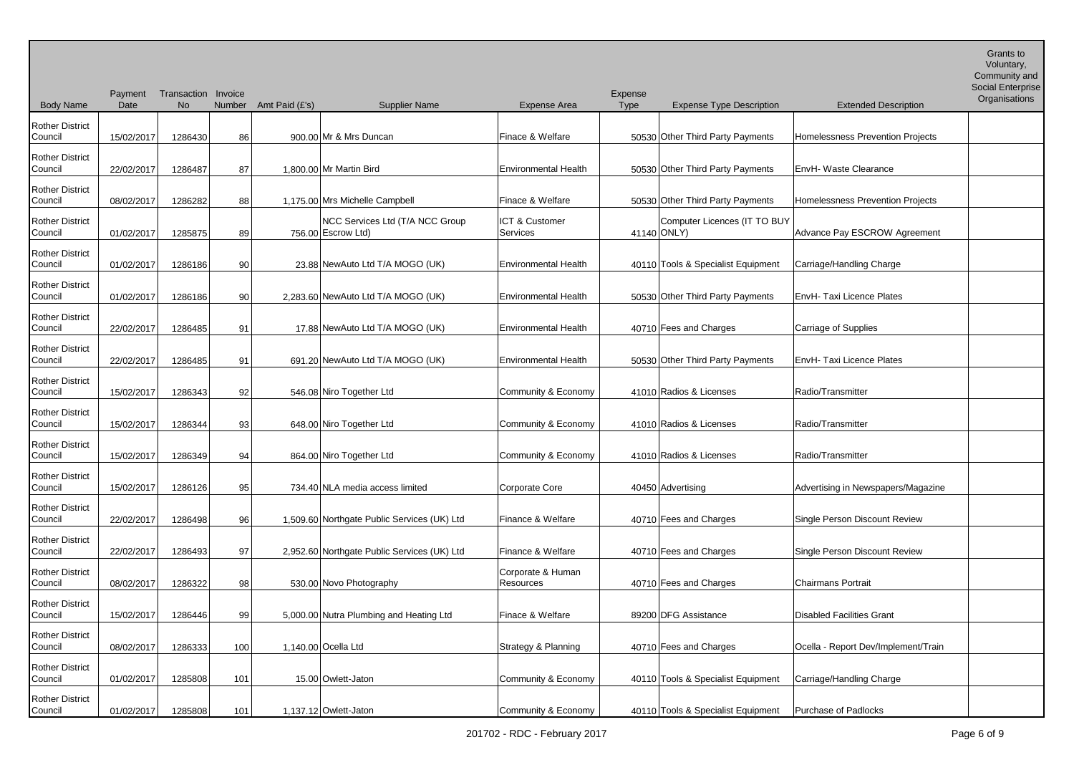Body Name Payment Transaction Invoice **Date** No Number Amt Paid (£'s) Supplier Name Expense Area Expense<br>Type Expense Type Description Extended Description Voluntary, Community and Social Enterprise **Organisations** Rother District<br>Council 15/02/2017 1286430 86 900.00 Mr & Mrs Duncan Finace & Welfare 50530 Other Third Party Payments Homelessness Prevention Projects Rother District Council | 22/02/2017 | 1286487 87 | 1,800.00 Mr Martin Bird | Environmental Health | 50530 Other Third Party Payments | EnvH- Waste Clearance Rother District 08/02/2017 1286282 88 1,175.00 Mrs Michelle Campbell Finace & Welfare 50530 Other Third Party Payments Homelessness Prevention Projects Rother District Council | 01/02/2017 | 1285875 | 89 NCC Services Ltd (T/A NCC Group  $756.00$  Escrow Ltd) ICT & Customer Services 141140 ONLY) Computer Licences (IT TO BUY Advance Pay ESCROW Agreement Rother District 01/02/2017 1286186 90 23.88 NewAuto Ltd T/A MOGO (UK) Environmental Health 40110 Tools & Specialist Equipment Carriage/Handling Charge Rother District Council | 01/02/2017 | 1286186 90 2.283.60 NewAuto Ltd T/A MOGO (UK) | Environmental Health | 50530 Other Third Party Payments | EnvH- Taxi Licence Plates Rother District 22/02/2017 1286485 91 17.88 NewAuto Ltd T/A MOGO (UK) Environmental Health 40710 Fees and Charges Carriage of Supplies Rother District<br>Council 22/02/2017 1286485 91 691.20 NewAuto Ltd T/A MOGO (UK) Environmental Health 50530 Other Third Party Payments EnvH- Taxi Licence Plates Rother District Council 15/02/2017 1286343 92 546.08 Niro Together Ltd Community & Economy 41010 Radios & Licenses Radio/Transmitter Rother District Council 15/02/2017 1286344 93 648.00 Niro Together Ltd Community & Economy 41010 Radios & Licenses Radio/Transmitter Rother District Council 15/02/2017 1286349 94 864.00 Niro Together Ltd Community & Economy 41010 Radios & Licenses Radio/Transmitter Rother District Council 15/02/2017 1286126 95 734.40 NLA media access limited Corporate Core 40450 Advertising Advertising Advertising Advertising Advertising Advertising Advertising Advertising Advertising Advertising Advertising Adverti Rother District Council | 22/02/2017 | 1286498 96 1,509.60 Northgate Public Services (UK) Ltd Finance & Welfare | 40710 Fees and Charges | Single Person Discount Review Rother District Council | 22/02/2017 1286493 97 2,952.60 Northgate Public Services (UK) Ltd Finance & Welfare | 40710 Fees and Charges | Single Person Discount Review Rother District Council 08/02/2017 1286322 98 530.00 Novo Photography Corporate & Human Resources 40710 Fees and Charges Chairmans Portrait Rother District Council 15/02/2017 1286446 99 5,000.00 Nutra Plumbing and Heating Ltd Finace & Welfare 89200 DFG Assistance Disabled Facilities Grant Rother District Council 08/02/2017 1286333 100 1,140.00 Ocella Ltd Strategy & Planning 40710 Fees and Charges Ocella - Report Dev/Implement/Train Rother District Council 01/02/2017 1285808 101 15.00 Owlett-Jaton Community & Economy 40110 Tools & Specialist Equipment Carriage/Handling Charge Rother District Council 01/02/2017 1285808 101 1.137.12 Owlett-Jaton Community & Economy 40110 Tools & Specialist Equipment Purchase of Padlocks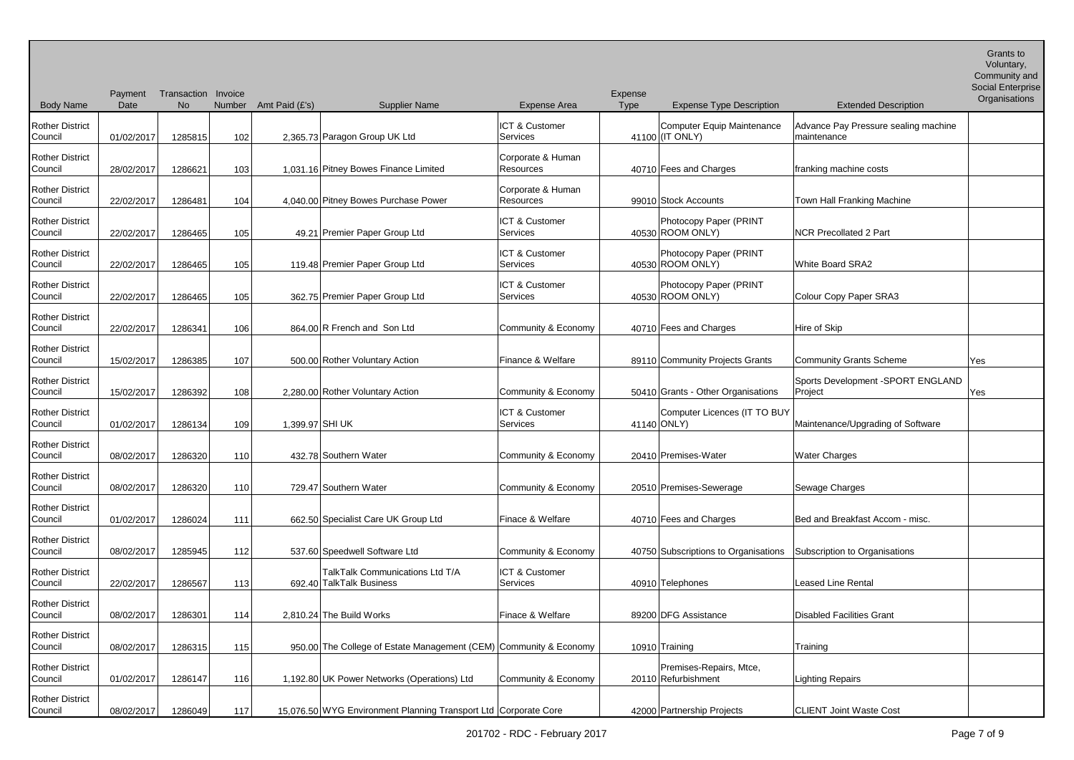Body Name Payment Transaction Invoice **Date** No Number Amt Paid (£'s) Supplier Name Expense Area Expense<br>Type Expense Type Description Extended Description Voluntary, Community and Social Enterprise **Organisations** Rother District<br>Council 01/02/2017 1285815 102 2,365.73 Paragon Group UK Ltd ICT & Customer Services Computer Equip Maintenance  $41100$  (IT ONLY) Advance Pay Pressure sealing machine maintenance Rother District Council 28/02/2017 1286621 103 1,031.16 Pitney Bowes Finance Limited Corporate & Human Resources 1986 10710 Fees and Charges franking machine costs Rother District 22/02/2017 1286481 104 4,040.00 Pitney Bowes Purchase Power Corporate & Human<br>Resources 99010 Stock Accounts Town Hall Franking Machine Rother District Council 22/02/2017 1286465 105 49.21 Premier Paper Group Ltd ICT & Customer Services and the 40530 ROOM ONLY) Photocopy Paper (PRINT **NCR Precollated 2 Part** Rother District 22/02/2017 1286465 105 119.48 Premier Paper Group Ltd ICT & Customer Services 40530 Photocopy Paper (PRINT White Board SRA2 Rother District Council 22/02/2017 1286465 105 362.75 Premier Paper Group Ltd ICT & Customer Services 40530 Photocopy Paper (PRINT Colour Copy Paper SRA3 Rother District 22/02/2017 1286341 106 864.00 R French and Son Ltd Community & Economy 40710 Fees and Charges Hire of Skip Rother District Council 15/02/2017 1286385 107 500.00 Rother Voluntary Action Finance & Welfare 89110 Community Projects Grants Community Grants Scheme Yes Rother District Council 15/02/2017 1286392 108 2,280.00 Rother Voluntary Action Community & Economy 50410 Grants - Other Organisations Sports Development -SPORT ENGLAND Project News Area News Rother District Council 101/02/2017 1286134 109 1,399.97 SHI UK ICT & Customer Services **by August 11140** ONLY) Computer Licences (IT TO BUY Maintenance/Upgrading of Software Rother District Council | 08/02/2017 | 1286320 110 432.78 Southern Water Community & Economy | 20410 Premises-Water Water Charges Rother District Council 08/02/2017 1286320 110 729.47 Southern Water Community & Economy 20510 Premises-Sewerage Sewerage Sewage Charges Rother District Council 01/02/2017 1286024 111 662.50 Specialist Care UK Group Ltd Finace & Welfare 40710 Fees and Charges Bed and Breakfast Accom - misc. Rother District Council  $\log_{102/2017}$  1285945 112 537.60 Speedwell Software Ltd Community & Economy 40750 Subscriptions to Organisations Subscription to Organisations Rother District Council  $22/02/2017$  1286567 113 TalkTalk Communications Ltd T/A 692.40 TalkTalk Business ICT & Customer Services **And August 10910** Telephones **Leased Line Rental** Rother District Council 08/02/2017 1286301 114 2.810.24 The Build Works Finace & Welfare 89200 DFG Assistance Disabled Facilities Grant Rother District Council | 08/02/2017 | 1286315 | 115 | 950.00 The College of Estate Management (CEM) Community & Economy | 10910 Training | Training | Training Rother District Council | 01/02/2017 | 1286147 | 116 | 1,192.80 UK Power Networks (Operations) Ltd | Community & Economy | 20110 Refurbishment Premises-Repairs, Mtce, Lighting Repairs Rother District Council 08/02/2017 1286049 117 15.076.50 WYG Environment Planning Transport Ltd Corporate Core 42000 Partnership Projects CLIENT Joint Waste Cost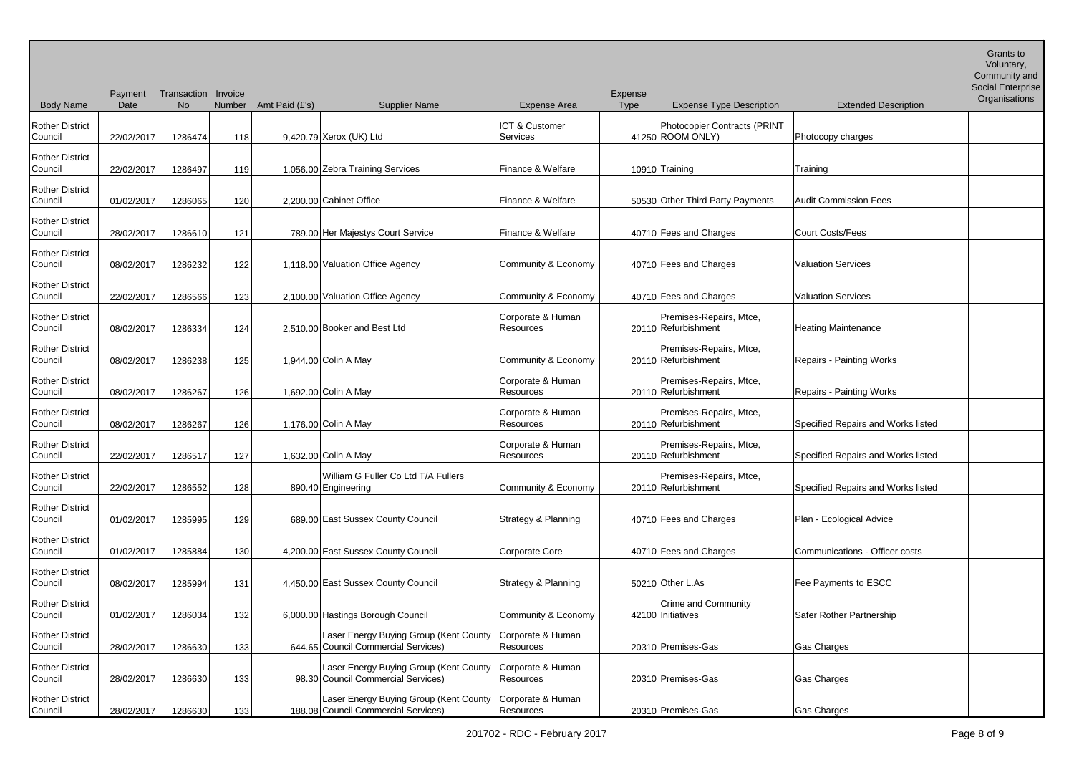| <b>Body Name</b>                  | Payment<br>Date | Transaction Invoice<br>No | Number | Amt Paid (£'s) | <b>Supplier Name</b>                                                          | <b>Expense Area</b>                   | Expense<br>Type | <b>Expense Type Description</b>                  | <b>Extended Description</b>        | Community and<br>Social Enterprise<br>Organisations |
|-----------------------------------|-----------------|---------------------------|--------|----------------|-------------------------------------------------------------------------------|---------------------------------------|-----------------|--------------------------------------------------|------------------------------------|-----------------------------------------------------|
| <b>Rother District</b><br>Council | 22/02/2017      | 1286474                   | 118    |                | 9,420.79 Xerox (UK) Ltd                                                       | <b>ICT &amp; Customer</b><br>Services |                 | Photocopier Contracts (PRINT<br>41250 ROOM ONLY) | Photocopy charges                  |                                                     |
| <b>Rother District</b><br>Council | 22/02/2017      | 1286497                   | 119    |                | 1,056.00 Zebra Training Services                                              | Finance & Welfare                     |                 | 10910 Training                                   | Training                           |                                                     |
| <b>Rother District</b><br>Council | 01/02/2017      | 1286065                   | 120    |                | 2,200.00 Cabinet Office                                                       | Finance & Welfare                     |                 | 50530 Other Third Party Payments                 | <b>Audit Commission Fees</b>       |                                                     |
| <b>Rother District</b><br>Council | 28/02/2017      | 1286610                   | 121    |                | 789.00 Her Majestys Court Service                                             | Finance & Welfare                     |                 | 40710 Fees and Charges                           | <b>Court Costs/Fees</b>            |                                                     |
| <b>Rother District</b><br>Council | 08/02/2017      | 1286232                   | 122    |                | 1,118.00 Valuation Office Agency                                              | Community & Economy                   |                 | 40710 Fees and Charges                           | <b>Valuation Services</b>          |                                                     |
| <b>Rother District</b><br>Council | 22/02/2017      | 1286566                   | 123    |                | 2,100.00 Valuation Office Agency                                              | Community & Economy                   |                 | 40710 Fees and Charges                           | <b>Valuation Services</b>          |                                                     |
| <b>Rother District</b><br>Council | 08/02/2017      | 1286334                   | 124    |                | 2.510.00 Booker and Best Ltd                                                  | Corporate & Human<br>Resources        |                 | Premises-Repairs, Mtce,<br>20110 Refurbishment   | <b>Heating Maintenance</b>         |                                                     |
| <b>Rother District</b><br>Council | 08/02/2017      | 1286238                   | 125    |                | 1,944.00 Colin A May                                                          | Community & Economy                   |                 | Premises-Repairs, Mtce,<br>20110 Refurbishment   | <b>Repairs - Painting Works</b>    |                                                     |
| <b>Rother District</b><br>Council | 08/02/2017      | 1286267                   | 126    |                | 1,692.00 Colin A May                                                          | Corporate & Human<br>Resources        |                 | Premises-Repairs, Mtce,<br>20110 Refurbishment   | <b>Repairs - Painting Works</b>    |                                                     |
| <b>Rother District</b><br>Council | 08/02/2017      | 1286267                   | 126    |                | 1,176.00 Colin A May                                                          | Corporate & Human<br>Resources        |                 | Premises-Repairs, Mtce,<br>20110 Refurbishment   | Specified Repairs and Works listed |                                                     |
| <b>Rother District</b><br>Council | 22/02/2017      | 1286517                   | 127    |                | 1,632.00 Colin A May                                                          | Corporate & Human<br>Resources        |                 | Premises-Repairs, Mtce,<br>20110 Refurbishment   | Specified Repairs and Works listed |                                                     |
| <b>Rother District</b><br>Council | 22/02/2017      | 1286552                   | 128    |                | William G Fuller Co Ltd T/A Fullers<br>890.40 Engineering                     | Community & Economy                   |                 | Premises-Repairs, Mtce,<br>20110 Refurbishment   | Specified Repairs and Works listed |                                                     |
| <b>Rother District</b><br>Council | 01/02/2017      | 1285995                   | 129    |                | 689.00 East Sussex County Council                                             | <b>Strategy &amp; Planning</b>        |                 | 40710 Fees and Charges                           | Plan - Ecological Advice           |                                                     |
| <b>Rother District</b><br>Council | 01/02/2017      | 1285884                   | 130    |                | 4,200.00 East Sussex County Council                                           | Corporate Core                        |                 | 40710 Fees and Charges                           | Communications - Officer costs     |                                                     |
| <b>Rother District</b><br>Council | 08/02/2017      | 1285994                   | 131    |                | 4,450.00 East Sussex County Council                                           | <b>Strategy &amp; Planning</b>        |                 | 50210 Other L.As                                 | Fee Payments to ESCC               |                                                     |
| <b>Rother District</b><br>Council | 01/02/2017      | 1286034                   | 132    |                | 6,000.00 Hastings Borough Council                                             | Community & Economy                   |                 | <b>Crime and Community</b><br>42100 Initiatives  | Safer Rother Partnership           |                                                     |
| <b>Rother District</b><br>Council | 28/02/2017      | 1286630                   | 133    |                | Laser Energy Buying Group (Kent County<br>644.65 Council Commercial Services) | Corporate & Human<br>Resources        |                 | 20310 Premises-Gas                               | <b>Gas Charges</b>                 |                                                     |
| <b>Rother District</b><br>Council | 28/02/2017      | 1286630                   | 133    |                | Laser Energy Buying Group (Kent County<br>98.30 Council Commercial Services)  | Corporate & Human<br>Resources        |                 | 20310 Premises-Gas                               | Gas Charges                        |                                                     |
| <b>Rother District</b><br>Council | 28/02/2017      | 1286630                   | 133    |                | Laser Energy Buying Group (Kent County<br>188.08 Council Commercial Services) | Corporate & Human<br>Resources        |                 | 20310 Premises-Gas                               | <b>Gas Charges</b>                 |                                                     |